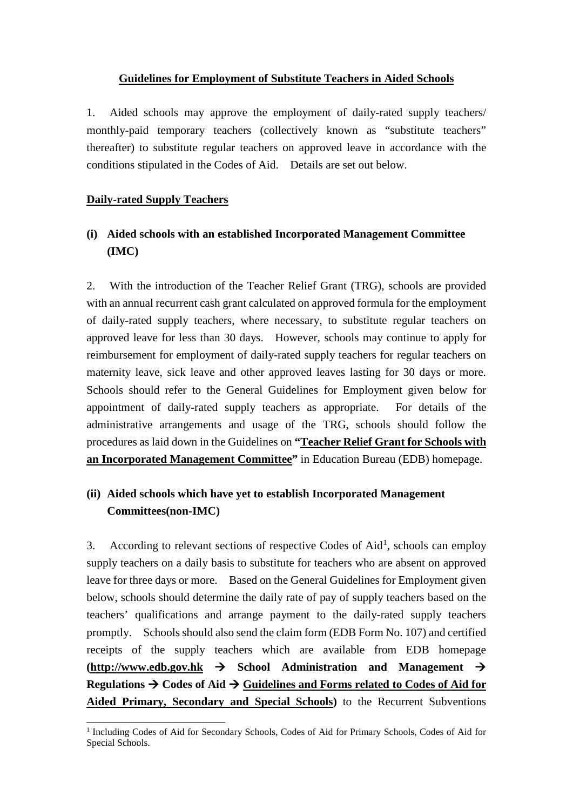## **Guidelines for Employment of Substitute Teachers in Aided Schools**

1. Aided schools may approve the employment of daily-rated supply teachers/ monthly-paid temporary teachers (collectively known as "substitute teachers" thereafter) to substitute regular teachers on approved leave in accordance with the conditions stipulated in the Codes of Aid. Details are set out below.

## **Daily-rated Supply Teachers**

# **(i) Aided schools with an established Incorporated Management Committee (IMC)**

2. With the introduction of the Teacher Relief Grant (TRG), schools are provided with an annual recurrent cash grant calculated on approved formula for the employment of daily-rated supply teachers, where necessary, to substitute regular teachers on approved leave for less than 30 days. However, schools may continue to apply for reimbursement for employment of daily-rated supply teachers for regular teachers on maternity leave, sick leave and other approved leaves lasting for 30 days or more. Schools should refer to the General Guidelines for Employment given below for appointment of daily-rated supply teachers as appropriate. For details of the administrative arrangements and usage of the TRG, schools should follow the procedures as laid down in the Guidelines on **["Teacher Relief Grant](https://www.edb.gov.hk/en/sch-admin/fin-management/subsidy-info/trg/index.html) for Schools with [an Incorporated Management Committee"](https://www.edb.gov.hk/en/sch-admin/fin-management/subsidy-info/trg/index.html)** in Education Bureau (EDB) homepage.

## **(ii) Aided schools which have yet to establish Incorporated Management Committees(non-IMC)**

3. According to relevant sections of respective Codes of Aid<sup>[1](#page-0-0)</sup>, schools can employ supply teachers on a daily basis to substitute for teachers who are absent on approved leave for three days or more. Based on the General Guidelines for Employment given below, schools should determine the daily rate of pay of supply teachers based on the teachers' qualifications and arrange payment to the daily-rated supply teachers promptly. Schools should also send the claim form (EDB Form No. 107) and certified receipts of the supply teachers which are available from EDB homepage  $(\text{http://www.edu.gov.hk} \rightarrow \text{School} \quad \text{Administration} \quad \text{and} \quad \text{Management} \rightarrow \text{C}$ **Regulations**  $\rightarrow$  **Codes of Aid**  $\rightarrow$  **Guidelines and Forms related to Codes of Aid for [Aided Primary, Secondary and Special Schools\)](https://www.edb.gov.hk/attachment/en/sch-admin/regulations/codes-of-aid/coa_ag_e.pdf)** to the Recurrent Subventions

<span id="page-0-0"></span> <sup>1</sup> Including Codes of Aid for Secondary Schools, Codes of Aid for Primary Schools, Codes of Aid for Special Schools.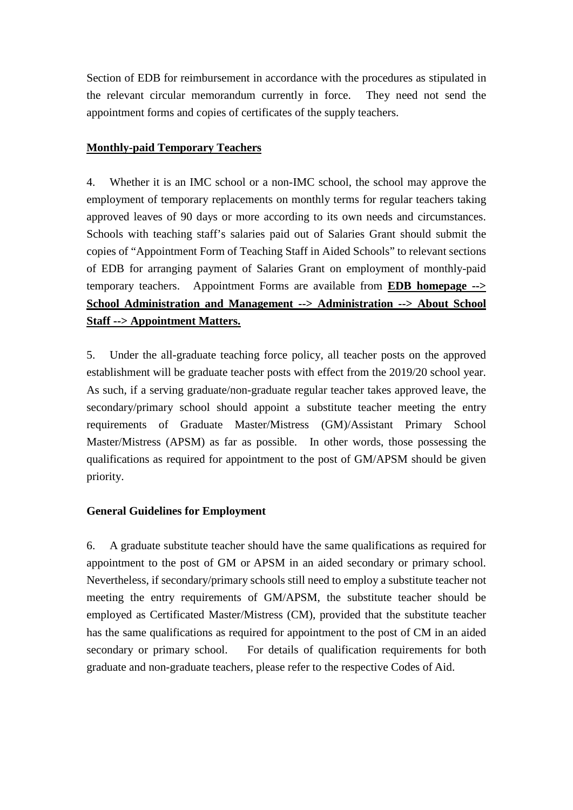Section of EDB for reimbursement in accordance with the procedures as stipulated in the relevant circular memorandum currently in force. They need not send the appointment forms and copies of certificates of the supply teachers.

## **Monthly-paid Temporary Teachers**

4. Whether it is an IMC school or a non-IMC school, the school may approve the employment of temporary replacements on monthly terms for regular teachers taking approved leaves of 90 days or more according to its own needs and circumstances. Schools with teaching staff's salaries paid out of Salaries Grant should submit the copies of "Appointment Form of Teaching Staff in Aided Schools" to relevant sections of EDB for arranging payment of Salaries Grant on employment of monthly-paid temporary teachers. Appointment Forms are available from **[EDB homepage -->](https://www.edb.gov.hk/en/sch-admin/admin/about-sch-staff/appointment/index.html)  [School Administration and Management --> Administration --> About School](https://www.edb.gov.hk/en/sch-admin/admin/about-sch-staff/appointment/index.html)  [Staff --> Appointment Matters.](https://www.edb.gov.hk/en/sch-admin/admin/about-sch-staff/appointment/index.html)**

5. Under the all-graduate teaching force policy, all teacher posts on the approved establishment will be graduate teacher posts with effect from the 2019/20 school year. As such, if a serving graduate/non-graduate regular teacher takes approved leave, the secondary/primary school should appoint a substitute teacher meeting the entry requirements of Graduate Master/Mistress (GM)/Assistant Primary School Master/Mistress (APSM) as far as possible. In other words, those possessing the qualifications as required for appointment to the post of GM/APSM should be given priority.

## **General Guidelines for Employment**

6. A graduate substitute teacher should have the same qualifications as required for appointment to the post of GM or APSM in an aided secondary or primary school. Nevertheless, if secondary/primary schools still need to employ a substitute teacher not meeting the entry requirements of GM/APSM, the substitute teacher should be employed as Certificated Master/Mistress (CM), provided that the substitute teacher has the same qualifications as required for appointment to the post of CM in an aided secondary or primary school. For details of qualification requirements for both graduate and non-graduate teachers, please refer to the respective Codes of Aid.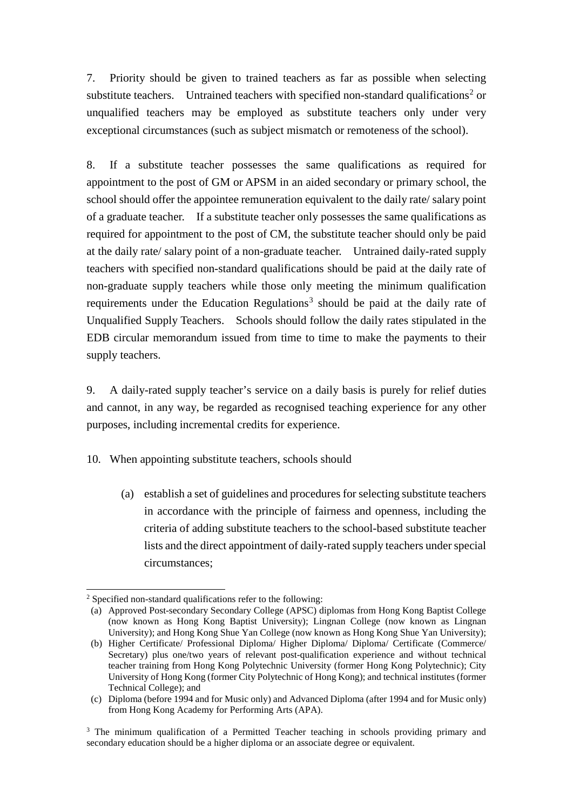7. Priority should be given to trained teachers as far as possible when selecting substitute teachers. Untrained teachers with specified non-standard qualifications<sup>[2](#page-2-0)</sup> or unqualified teachers may be employed as substitute teachers only under very exceptional circumstances (such as subject mismatch or remoteness of the school).

8. If a substitute teacher possesses the same qualifications as required for appointment to the post of GM or APSM in an aided secondary or primary school, the school should offer the appointee remuneration equivalent to the daily rate/ salary point of a graduate teacher. If a substitute teacher only possesses the same qualifications as required for appointment to the post of CM, the substitute teacher should only be paid at the daily rate/ salary point of a non-graduate teacher. Untrained daily-rated supply teachers with specified non-standard qualifications should be paid at the daily rate of non-graduate supply teachers while those only meeting the minimum qualification requirements under the Education Regulations<sup>[3](#page-2-1)</sup> should be paid at the daily rate of Unqualified Supply Teachers. Schools should follow the daily rates stipulated in the EDB circular memorandum issued from time to time to make the payments to their supply teachers.

9. A daily-rated supply teacher's service on a daily basis is purely for relief duties and cannot, in any way, be regarded as recognised teaching experience for any other purposes, including incremental credits for experience.

10. When appointing substitute teachers, schools should

(a) establish a set of guidelines and procedures for selecting substitute teachers in accordance with the principle of fairness and openness, including the criteria of adding substitute teachers to the school-based substitute teacher lists and the direct appointment of daily-rated supply teachers under special circumstances;

<span id="page-2-0"></span><sup>&</sup>lt;sup>2</sup> Specified non-standard qualifications refer to the following:

<sup>(</sup>a) Approved Post-secondary Secondary College (APSC) diplomas from Hong Kong Baptist College (now known as Hong Kong Baptist University); Lingnan College (now known as Lingnan University); and Hong Kong Shue Yan College (now known as Hong Kong Shue Yan University);

<sup>(</sup>b) Higher Certificate/ Professional Diploma/ Higher Diploma/ Diploma/ Certificate (Commerce/ Secretary) plus one/two years of relevant post-qualification experience and without technical teacher training from Hong Kong Polytechnic University (former Hong Kong Polytechnic); City University of Hong Kong (former City Polytechnic of Hong Kong); and technical institutes (former Technical College); and

<sup>(</sup>c) Diploma (before 1994 and for Music only) and Advanced Diploma (after 1994 and for Music only) from Hong Kong Academy for Performing Arts (APA).

<span id="page-2-1"></span> $3$  The minimum qualification of a Permitted Teacher teaching in schools providing primary and secondary education should be a higher diploma or an associate degree or equivalent.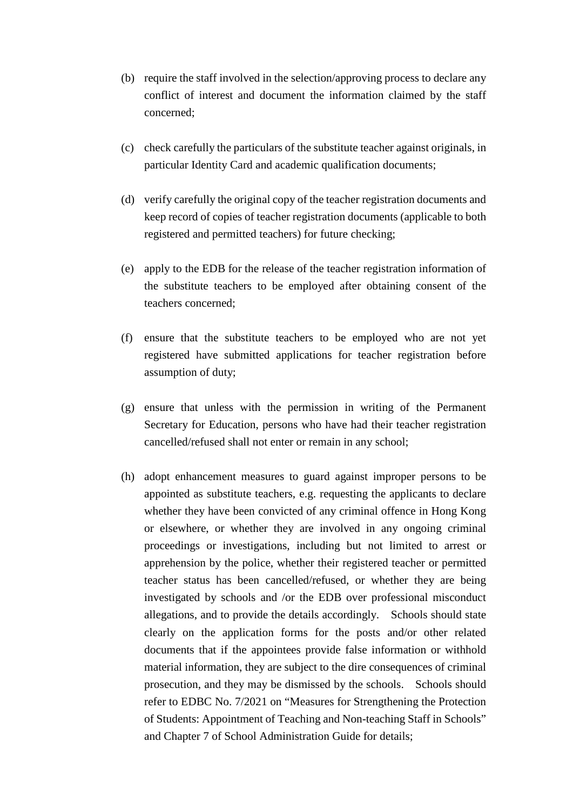- (b) require the staff involved in the selection/approving process to declare any conflict of interest and document the information claimed by the staff concerned;
- (c) check carefully the particulars of the substitute teacher against originals, in particular Identity Card and academic qualification documents;
- (d) verify carefully the original copy of the teacher registration documents and keep record of copies of teacher registration documents (applicable to both registered and permitted teachers) for future checking;
- (e) apply to the EDB for the release of the teacher registration information of the substitute teachers to be employed after obtaining consent of the teachers concerned;
- (f) ensure that the substitute teachers to be employed who are not yet registered have submitted applications for teacher registration before assumption of duty;
- (g) ensure that unless with the permission in writing of the Permanent Secretary for Education, persons who have had their teacher registration cancelled/refused shall not enter or remain in any school;
- (h) adopt enhancement measures to guard against improper persons to be appointed as substitute teachers, e.g. requesting the applicants to declare whether they have been convicted of any criminal offence in Hong Kong or elsewhere, or whether they are involved in any ongoing criminal proceedings or investigations, including but not limited to arrest or apprehension by the police, whether their registered teacher or permitted teacher status has been cancelled/refused, or whether they are being investigated by schools and /or the EDB over professional misconduct allegations, and to provide the details accordingly. Schools should state clearly on the application forms for the posts and/or other related documents that if the appointees provide false information or withhold material information, they are subject to the dire consequences of criminal prosecution, and they may be dismissed by the schools. Schools should refer to EDBC No. 7/2021 on "Measures for Strengthening the Protection of Students: Appointment of Teaching and Non-teaching Staff in Schools" and Chapter 7 of School Administration Guide for details;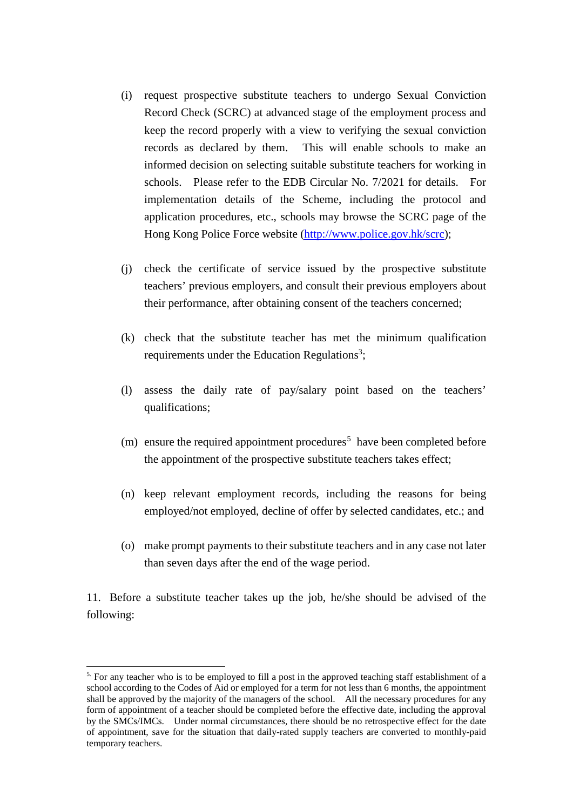- (i) request prospective substitute teachers to undergo Sexual Conviction Record Check (SCRC) at advanced stage of the employment process and keep the record properly with a view to verifying the sexual conviction records as declared by them. This will enable schools to make an informed decision on selecting suitable substitute teachers for working in schools. Please refer to the EDB Circular No. 7/2021 for details. For implementation details of the Scheme, including the protocol and application procedures, etc., schools may browse the SCRC page of the Hong Kong Police Force website [\(http://www.police.gov.hk/scrc\)](http://www.police.gov.hk/scrc);
- (j) check the certificate of service issued by the prospective substitute teachers' previous employers, and consult their previous employers about their performance, after obtaining consent of the teachers concerned;
- (k) check that the substitute teacher has met the minimum qualification requirements under the Education Regulations<sup>3</sup>;
- (l) assess the daily rate of pay/salary point based on the teachers' qualifications;
- (m) ensure the required appointment procedures<sup>[5](#page-4-0)</sup> have been completed before the appointment of the prospective substitute teachers takes effect;
- (n) keep relevant employment records, including the reasons for being employed/not employed, decline of offer by selected candidates, etc.; and
- (o) make prompt payments to their substitute teachers and in any case not later than seven days after the end of the wage period.

11. Before a substitute teacher takes up the job, he/she should be advised of the following:

<span id="page-4-0"></span><sup>&</sup>lt;sup>5.</sup> For any teacher who is to be employed to fill a post in the approved teaching staff establishment of a school according to the Codes of Aid or employed for a term for not less than 6 months, the appointment shall be approved by the majority of the managers of the school. All the necessary procedures for any form of appointment of a teacher should be completed before the effective date, including the approval by the SMCs/IMCs. Under normal circumstances, there should be no retrospective effect for the date of appointment, save for the situation that daily-rated supply teachers are converted to monthly-paid temporary teachers.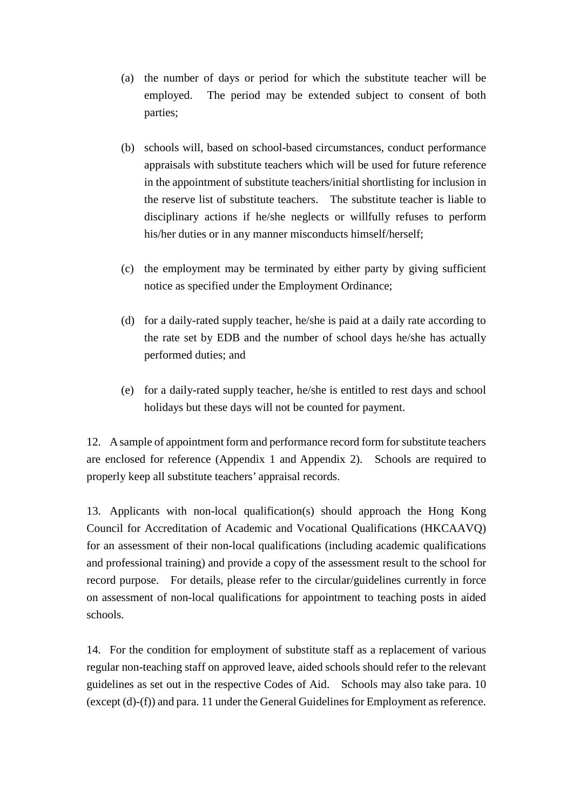- (a) the number of days or period for which the substitute teacher will be employed. The period may be extended subject to consent of both parties;
- (b) schools will, based on school-based circumstances, conduct performance appraisals with substitute teachers which will be used for future reference in the appointment of substitute teachers/initial shortlisting for inclusion in the reserve list of substitute teachers. The substitute teacher is liable to disciplinary actions if he/she neglects or willfully refuses to perform his/her duties or in any manner misconducts himself/herself;
- (c) the employment may be terminated by either party by giving sufficient notice as specified under the Employment Ordinance;
- (d) for a daily-rated supply teacher, he/she is paid at a daily rate according to the rate set by EDB and the number of school days he/she has actually performed duties; and
- (e) for a daily-rated supply teacher, he/she is entitled to rest days and school holidays but these days will not be counted for payment.

12. A sample of appointment form and performance record form for substitute teachers are enclosed for reference (Appendix 1 and Appendix 2). Schools are required to properly keep all substitute teachers' appraisal records.

13. Applicants with non-local qualification(s) should approach the Hong Kong Council for Accreditation of Academic and Vocational Qualifications (HKCAAVQ) for an assessment of their non-local qualifications (including academic qualifications and professional training) and provide a copy of the assessment result to the school for record purpose. For details, please refer to the circular/guidelines currently in force on assessment of non-local qualifications for appointment to teaching posts in aided schools.

14. For the condition for employment of substitute staff as a replacement of various regular non-teaching staff on approved leave, aided schools should refer to the relevant guidelines as set out in the respective Codes of Aid. Schools may also take para. 10 (except (d)-(f)) and para. 11 under the General Guidelines for Employment as reference.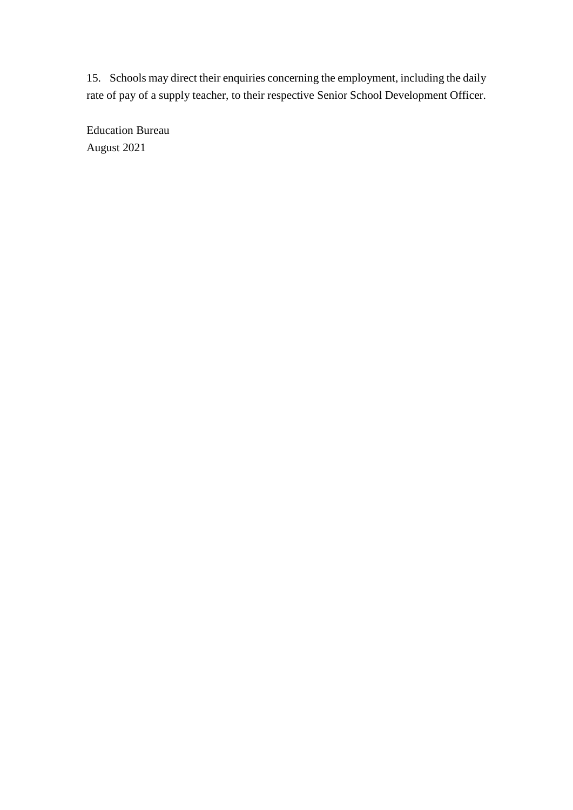15. Schools may direct their enquiries concerning the employment, including the daily rate of pay of a supply teacher, to their respective Senior School Development Officer.

Education Bureau August 2021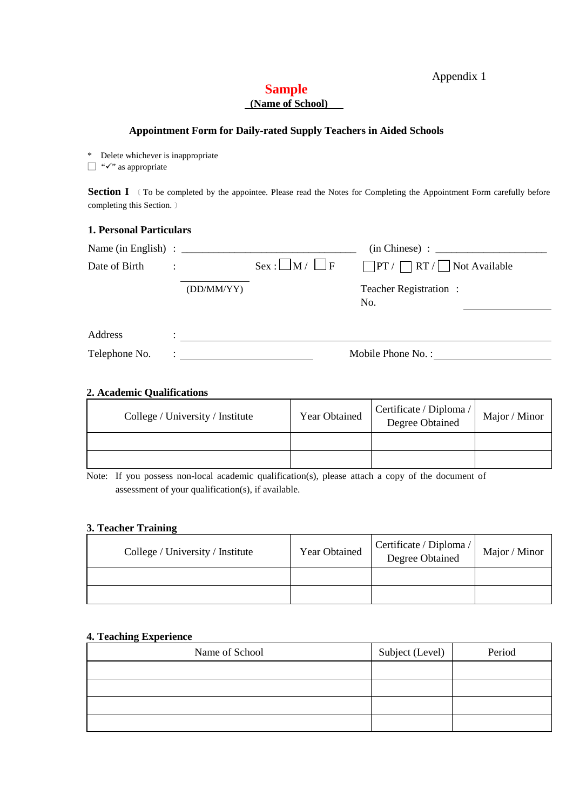#### Appendix 1

## **Sample (Name of School)**

#### **Appointment Form for Daily-rated Supply Teachers in Aided Schools**

\* Delete whichever is inappropriate

 $\Box$  " $\checkmark$ " as appropriate

**Section I** (To be completed by the appointee. Please read the Notes for Completing the Appointment Form carefully before completing this Section.﹞

#### **1. Personal Particulars**

|               |           |            |                      | $(in Chinese) : \n$                      |  |
|---------------|-----------|------------|----------------------|------------------------------------------|--|
| Date of Birth | $\bullet$ |            | $Sex: M / \square F$ | $\Box PT / \Box RT / \Box$ Not Available |  |
|               |           | (DD/MM/YY) |                      | Teacher Registration:<br>No.             |  |
| Address       |           |            |                      |                                          |  |
| Telephone No. |           |            |                      | Mobile Phone No.:                        |  |

#### **2. Academic Qualifications**

| College / University / Institute | <b>Year Obtained</b> | Certificate / Diploma /<br>Degree Obtained | Major / Minor |
|----------------------------------|----------------------|--------------------------------------------|---------------|
|                                  |                      |                                            |               |
|                                  |                      |                                            |               |

Note: If you possess non-local academic qualification(s), please attach a copy of the document of assessment of your qualification(s), if available.

#### **3. Teacher Training**

| College / University / Institute | <b>Year Obtained</b> | Certificate / Diploma /<br>Degree Obtained | Major / Minor |
|----------------------------------|----------------------|--------------------------------------------|---------------|
|                                  |                      |                                            |               |
|                                  |                      |                                            |               |

#### **4. Teaching Experience**

| Name of School | Subject (Level) | Period |
|----------------|-----------------|--------|
|                |                 |        |
|                |                 |        |
|                |                 |        |
|                |                 |        |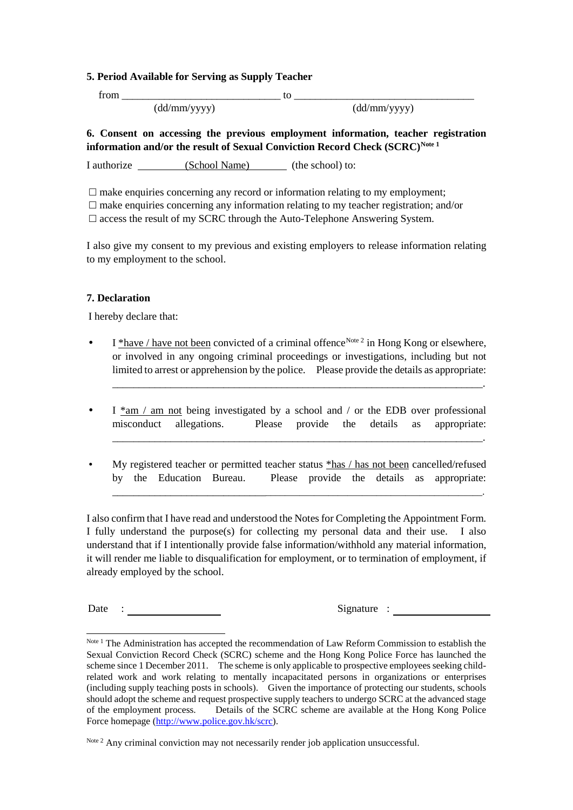#### **5. Period Available for Serving as Supply Teacher**

 $from$   $\qquad \qquad \qquad$   $\qquad \qquad$   $\qquad \qquad$   $\qquad \qquad$   $\qquad \qquad$   $\qquad \qquad$   $\qquad \qquad$   $\qquad$   $\qquad \qquad$   $\qquad$   $\qquad \qquad$   $\qquad$   $\qquad$   $\qquad$   $\qquad$   $\qquad$   $\qquad$   $\qquad$   $\qquad$   $\qquad$   $\qquad$   $\qquad$   $\qquad$   $\qquad$   $\qquad$   $\qquad$   $\qquad$   $\qquad$   $\qquad$   $\qquad$   $\qquad$  (dd/mm/yyyy) (dd/mm/yyyy)

#### **6. Consent on accessing the previous employment information, teacher registration information and/or the result of Sexual Conviction Record Check (SCRC)[Note 1](#page-8-0)**

I authorize (School Name) (the school) to:

 $\Box$  make enquiries concerning any record or information relating to my employment;  $\Box$  make enquiries concerning any information relating to my teacher registration; and/or  $\square$  access the result of my SCRC through the Auto-Telephone Answering System.

I also give my consent to my previous and existing employers to release information relating to my employment to the school.

#### **7. Declaration**

I hereby declare that:

I \*have / have not been convicted of a criminal offence<sup>[Note 2](#page-8-1)</sup> in Hong Kong or elsewhere, or involved in any ongoing criminal proceedings or investigations, including but not limited to arrest or apprehension by the police. Please provide the details as appropriate:

\_\_\_\_\_\_\_\_\_\_\_\_\_\_\_\_\_\_\_\_\_\_\_\_\_\_\_\_\_\_\_\_\_\_\_\_\_\_\_\_\_\_\_\_\_\_\_\_\_\_\_\_\_\_\_\_\_\_\_\_\_\_\_\_\_\_\_\_\_\_.

\_\_\_\_\_\_\_\_\_\_\_\_\_\_\_\_\_\_\_\_\_\_\_\_\_\_\_\_\_\_\_\_\_\_\_\_\_\_\_\_\_\_\_\_\_\_\_\_\_\_\_\_\_\_\_\_\_\_\_\_\_\_\_\_\_\_\_\_\_\_.

\_\_\_\_\_\_\_\_\_\_\_\_\_\_\_\_\_\_\_\_\_\_\_\_\_\_\_\_\_\_\_\_\_\_\_\_\_\_\_\_\_\_\_\_\_\_\_\_\_\_\_\_\_\_\_\_\_\_\_\_\_\_\_\_\_\_\_\_\_\_\_\_\_\_.

- $\bullet$  I  $*$ am / am not being investigated by a school and / or the EDB over professional misconduct allegations. Please provide the details as appropriate:
- My registered teacher or permitted teacher status \*has / has not been cancelled/refused by the Education Bureau. Please provide the details as appropriate:

I also confirm that I have read and understood the Notes for Completing the Appointment Form. I fully understand the purpose(s) for collecting my personal data and their use. I also understand that if I intentionally provide false information/withhold any material information, it will render me liable to disqualification for employment, or to termination of employment, if already employed by the school.

Date : Signature : Signature :

<span id="page-8-0"></span>Note 1 The Administration has accepted the recommendation of Law Reform Commission to establish the Sexual Conviction Record Check (SCRC) scheme and the Hong Kong Police Force has launched the scheme since 1 December 2011. The scheme is only applicable to prospective employees seeking childrelated work and work relating to mentally incapacitated persons in organizations or enterprises (including supply teaching posts in schools). Given the importance of protecting our students, schools should adopt the scheme and request prospective supply teachers to undergo SCRC at the advanced stage of the employment process. Details of the SCRC scheme are available at the Hong Kong Police Force homepage [\(http://www.police.gov.hk/scrc\)](http://www.police.gov.hk/scrc).

<span id="page-8-1"></span>Note<sup>2</sup> Any criminal conviction may not necessarily render job application unsuccessful.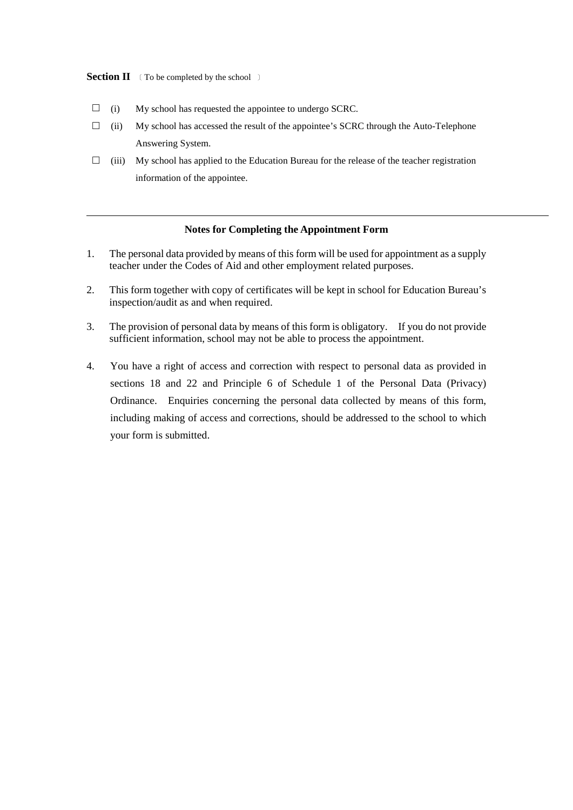**Section II** (To be completed by the school)

- $\Box$  (i) My school has requested the appointee to undergo SCRC.
- $\Box$  (ii) My school has accessed the result of the appointee's SCRC through the Auto-Telephone Answering System.
- $\Box$  (iii) My school has applied to the Education Bureau for the release of the teacher registration information of the appointee.

#### **Notes for Completing the Appointment Form**

- 1. The personal data provided by means of this form will be used for appointment as a supply teacher under the Codes of Aid and other employment related purposes.
- 2. This form together with copy of certificates will be kept in school for Education Bureau's inspection/audit as and when required.
- 3. The provision of personal data by means of this form is obligatory. If you do not provide sufficient information, school may not be able to process the appointment.
- 4. You have a right of access and correction with respect to personal data as provided in sections 18 and 22 and Principle 6 of Schedule 1 of the Personal Data (Privacy) Ordinance. Enquiries concerning the personal data collected by means of this form, including making of access and corrections, should be addressed to the school to which your form is submitted.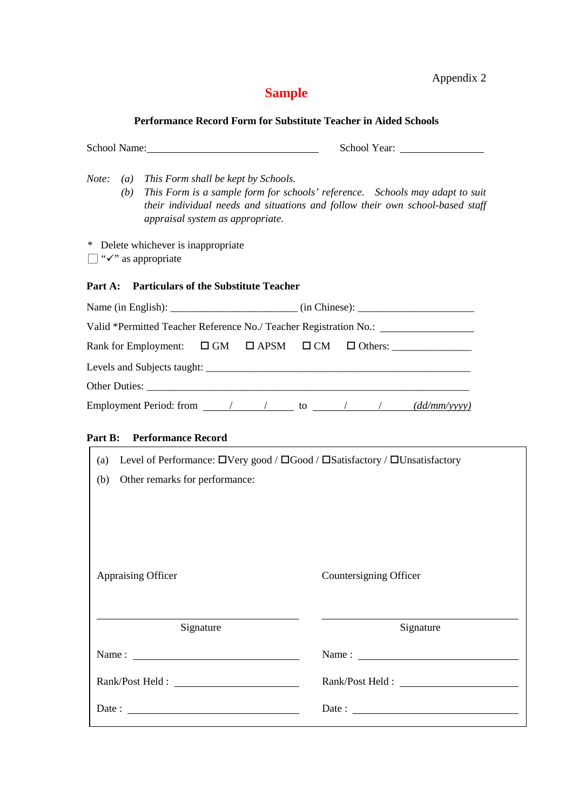Appendix 2

# **Sample**

## **Performance Record Form for Substitute Teacher in Aided Schools**

| School Name:                                                                                                 |                                                                                                                                                                |
|--------------------------------------------------------------------------------------------------------------|----------------------------------------------------------------------------------------------------------------------------------------------------------------|
| Note:<br>This Form shall be kept by Schools.<br>$\left( a\right)$<br>(b)<br>appraisal system as appropriate. | This Form is a sample form for schools' reference.  Schools may adapt to suit<br>their individual needs and situations and follow their own school-based staff |
| Delete whichever is inappropriate<br>*<br>"√" as appropriate                                                 |                                                                                                                                                                |
| <b>Particulars of the Substitute Teacher</b><br>Part A:                                                      |                                                                                                                                                                |
|                                                                                                              |                                                                                                                                                                |
|                                                                                                              | Valid *Permitted Teacher Reference No./ Teacher Registration No.: ______________                                                                               |
| Rank for Employment:                                                                                         | $\Box$ GM $\Box$ APSM $\Box$ CM $\Box$ Others:                                                                                                                 |
|                                                                                                              |                                                                                                                                                                |
|                                                                                                              |                                                                                                                                                                |
|                                                                                                              |                                                                                                                                                                |
|                                                                                                              |                                                                                                                                                                |
| <b>Performance Record</b><br>Part B:                                                                         |                                                                                                                                                                |
| (a)                                                                                                          | Level of Performance: □Very good / □Good / □Satisfactory / □Unsatisfactory                                                                                     |
| Other remarks for performance:<br>(b)                                                                        |                                                                                                                                                                |
|                                                                                                              |                                                                                                                                                                |
|                                                                                                              |                                                                                                                                                                |
|                                                                                                              |                                                                                                                                                                |
|                                                                                                              |                                                                                                                                                                |
| Appraising Officer                                                                                           | Countersigning Officer                                                                                                                                         |
|                                                                                                              |                                                                                                                                                                |
|                                                                                                              |                                                                                                                                                                |
| Signature                                                                                                    | Signature                                                                                                                                                      |
|                                                                                                              |                                                                                                                                                                |
|                                                                                                              |                                                                                                                                                                |
|                                                                                                              |                                                                                                                                                                |
|                                                                                                              |                                                                                                                                                                |
|                                                                                                              |                                                                                                                                                                |